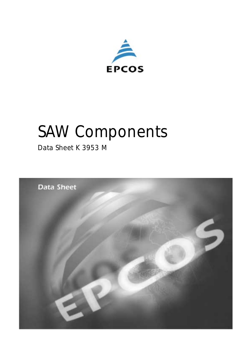

# *SAW Components*

*Data Sheet K 3953 M*

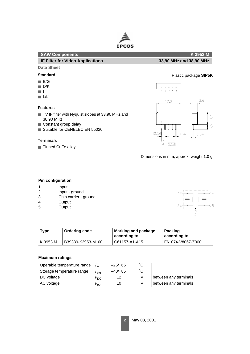

# **SAW Components K 3953 M**

**IF Filter for Video Applications 33,90 MHz and 38,90 MHz**

# **Data Sheet**

- B/G
- D/K
- I
- L/L'

## **Features**

- TV IF filter with Nyquist slopes at 33,90 MHz and 38,90 MHz
- Constant group delay
- Suitable for CENELEC EN 55020

#### **Terminals**

■ Tinned CuFe alloy

**Standard** Plastic package **SIP5K**



. . . . .

Dimensions in mm, approx. weight 1,0 g

#### **Pin configuration**

- 1 Input
- 2 Input ground
- 3 Chip carrier ground
- 4 Output
- 5 Output



| Type     | <b>Ordering code</b> | <b>Marking and package</b><br>according to | <b>Packing</b><br>according to |  |  |
|----------|----------------------|--------------------------------------------|--------------------------------|--|--|
| K 3953 M | B39389-K3953-M100    | C61157-A1-A15                              | F61074-V8067-Z000              |  |  |

## **Maximum ratings**

| Operable temperature range | $I_A$             | $-25/+65$ | ◦⌒  |                       |
|----------------------------|-------------------|-----------|-----|-----------------------|
| Storage temperature range  | stg               | $-40/+85$ | °C. |                       |
| DC voltage                 | $V_{\mathsf{DC}}$ | 12        |     | between any terminals |
| AC voltage                 | "pp               | 10        |     | between any terminals |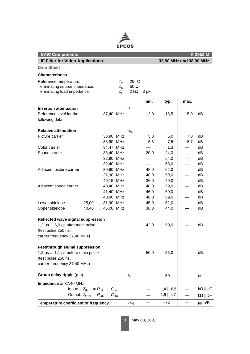

| <b>SAW Components</b>                                       |               | K 3953 M                  |      |                         |      |                        |  |
|-------------------------------------------------------------|---------------|---------------------------|------|-------------------------|------|------------------------|--|
| <b>IF Filter for Video Applications</b>                     |               |                           |      | 33,90 MHz and 38,90 MHz |      |                        |  |
| <b>Data Sheet</b>                                           |               |                           |      |                         |      |                        |  |
| <b>Characteristics</b>                                      |               |                           |      |                         |      |                        |  |
| Reference temperature:                                      | $T_A$ = 25 °C |                           |      |                         |      |                        |  |
| Terminating source impedance:                               |               | $Z_{\rm S} = 50 \Omega$   |      |                         |      |                        |  |
| Terminating load impedance:                                 |               | $Z_1 = 2 k\Omega    3 pF$ |      |                         |      |                        |  |
|                                                             |               |                           | min. | typ.                    | max. |                        |  |
| <b>Insertion attenuation</b>                                |               | $\alpha$                  |      |                         |      |                        |  |
| Reference level for the<br>37,40 MHz                        |               |                           | 12,0 | 13,5                    | 15,0 | dВ                     |  |
| following data                                              |               |                           |      |                         |      |                        |  |
| <b>Relative attenuation</b>                                 |               | $\alpha_{\text{rel}}$     |      |                         |      |                        |  |
| Picture carrier<br>38,90 MHz                                |               |                           | 5,0  | 6,0                     | 7,0  | dB                     |  |
| 33,90 MHz                                                   |               |                           | 6,3  | 7,5                     | 8,7  | dB                     |  |
| 34,47 MHz<br>Color carrier                                  |               |                           |      | 1,3                     |      | dB                     |  |
| Sound carrier<br>33,40 MHz                                  |               |                           | 20,0 | 24,0                    |      | dB                     |  |
| 32,90 MHz                                                   |               |                           |      | 54,0                    |      | dВ                     |  |
| 32,40 MHz                                                   |               |                           |      | 63,0                    |      | dB                     |  |
| 30,90 MHz<br>Adjacent picture carrier                       |               |                           | 48,0 | 62,0                    |      | dB                     |  |
| 31,90 MHz                                                   |               |                           | 48,0 | 59,0                    | —    | dB                     |  |
| 40,15 MHz                                                   |               |                           | 36,0 | 40,0                    | —    | dB                     |  |
| 40,40 MHz<br>Adjacent sound carrier                         |               |                           | 48,0 | 59,0                    |      | dB                     |  |
| 41,40 MHz                                                   |               |                           | 46,0 | 60,0                    |      | dB                     |  |
| 40,90 MHz                                                   |               |                           | 46,0 | 59,0                    |      | dB                     |  |
| 25,00  31,90 MHz<br>Lower sidelobe                          |               |                           | 45,0 | 52,0                    | —    | dB                     |  |
| Upper sidelobe<br>40,40  45,00 MHz                          |               |                           | 38,0 | 44,0                    |      | dB                     |  |
| Reflected wave signal suppression                           |               |                           |      |                         |      |                        |  |
| $1,2 \mu s$ 6,0 $\mu s$ after main pulse                    |               |                           | 42,0 | 50,0                    |      | dВ                     |  |
| (test pulse 250 ns,                                         |               |                           |      |                         |      |                        |  |
| carrier frequency 37,40 MHz)                                |               |                           |      |                         |      |                        |  |
| Feedthrough signal suppression                              |               |                           |      |                         |      |                        |  |
| $1,2 \mu s$ 1,1 $\mu s$ before main pulse                   |               |                           | 50,0 | 56,0                    |      | dВ                     |  |
| (test pulse 250 ns,                                         |               |                           |      |                         |      |                        |  |
| carrier frequency 37,40 MHz)                                |               |                           |      |                         |      |                        |  |
| Group delay ripple (p-p)                                    |               | Δτ                        |      | 50                      |      | ns                     |  |
| Impedance at 37,40 MHz                                      |               |                           |      |                         |      |                        |  |
| Input: $Z_{\text{IN}} = R_{\text{IN}}$    $C_{\text{IN}}$   |               |                           |      | $1,4$   16,9            |      | $k\Omega \parallel pF$ |  |
| Output: $Z_{\text{OUT}} = R_{\text{OUT}}    C_{\text{OUT}}$ |               |                           |      | $1,6$   4,7             |      | $k\Omega \parallel pF$ |  |
| Temperature coefficient of frequency                        |               | $TC_f$                    |      | $-72$                   |      | ppm/K                  |  |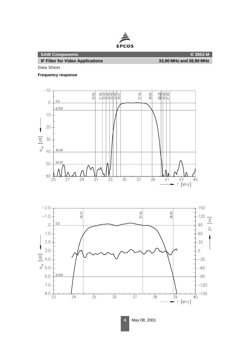

**IF Filter for Video Applications 33,90 MHz and 38,90 MHz**

**Data Sheet**

**Frequency response**



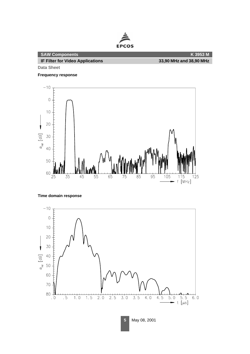

**Data Sheet**

#### **Frequency response**



# **Time domain response**